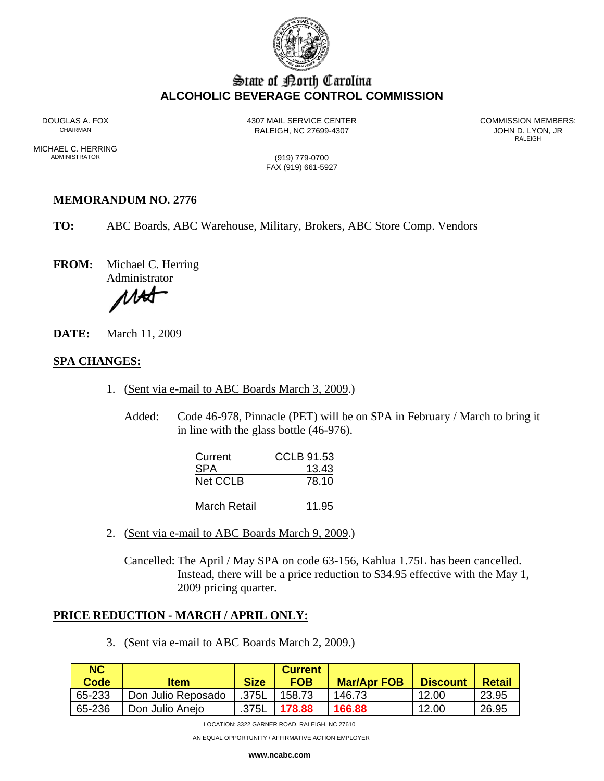

# State of Borth Carolina **ALCOHOLIC BEVERAGE CONTROL COMMISSION**

DOUGLAS A. FOX 4307 MAIL SERVICE CENTER COMMISSION MEMBERS: RALEIGH, NC 27699-4307 **CHAIRMAN BEIGH, NC 27699-4307** JOHN D. LYON, JR

**RALEIGH** 

MICHAEL C. HERRING<br>ADMINISTRATOR

(919) 779-0700 FAX (919) 661-5927

## **MEMORANDUM NO. 2776**

**TO:** ABC Boards, ABC Warehouse, Military, Brokers, ABC Store Comp. Vendors

**FROM:** Michael C. Herring

Administrator

Ato

**DATE:** March 11, 2009

#### **SPA CHANGES:**

- 1. (Sent via e-mail to ABC Boards March 3, 2009.)
	- Added: Code 46-978, Pinnacle (PET) will be on SPA in February / March to bring it in line with the glass bottle (46-976).

| Current      | CCLB 91.53 |
|--------------|------------|
| <b>SPA</b>   | 13.43      |
| Net CCLB     | 78.10      |
| March Retail | 11.95      |

2. (Sent via e-mail to ABC Boards March 9, 2009.)

Cancelled: The April / May SPA on code 63-156, Kahlua 1.75L has been cancelled. Instead, there will be a price reduction to \$34.95 effective with the May 1, 2009 pricing quarter.

### **PRICE REDUCTION - MARCH / APRIL ONLY:**

3. (Sent via e-mail to ABC Boards March 2, 2009.)

| NC.<br>Code | <b>Item</b>        | <b>Size</b> | <b>Current</b><br><b>FOB</b> | <b>Mar/Apr FOB</b> | <b>Discount</b> | <b>Retail</b> |
|-------------|--------------------|-------------|------------------------------|--------------------|-----------------|---------------|
| 65-233      | Don Julio Reposado | .375L       | 158.73                       | 146.73             | 12.00           | 23.95         |
| 65-236      | Don Julio Anejo    | 375L        | 178.88                       | 166.88             | 12.00           | 26.95         |

LOCATION: 3322 GARNER ROAD, RALEIGH, NC 27610

AN EQUAL OPPORTUNITY / AFFIRMATIVE ACTION EMPLOYER